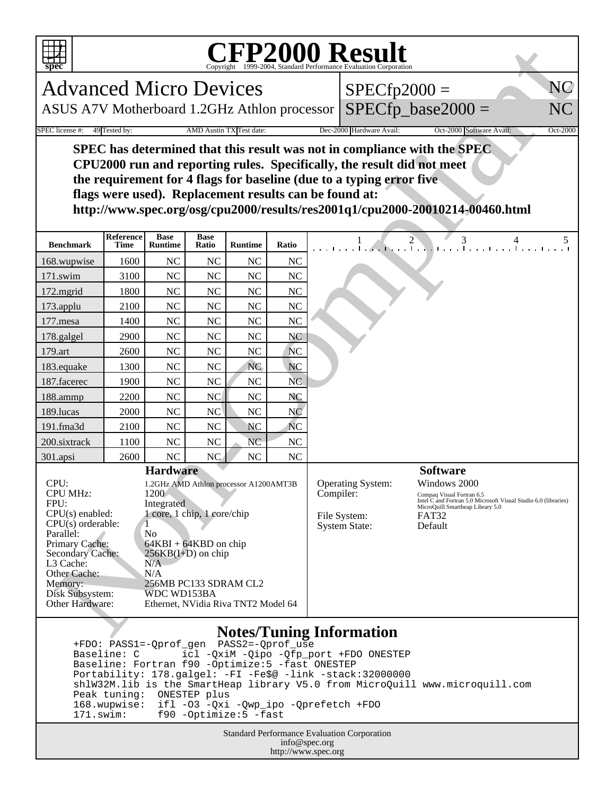

## Copyright ©1999-2004, Standard Performance Evaluation Corporation

| spec                                                                                                                                                                                                                                                                                                                                                                                                                                                                                                  |                          |                               |                      |                |                                                                                                                                                                                                                                                                          | <b>CFP2000 Result</b><br>Copyright ©1999-2004, Standard Performance Evaluation Corporation |  |
|-------------------------------------------------------------------------------------------------------------------------------------------------------------------------------------------------------------------------------------------------------------------------------------------------------------------------------------------------------------------------------------------------------------------------------------------------------------------------------------------------------|--------------------------|-------------------------------|----------------------|----------------|--------------------------------------------------------------------------------------------------------------------------------------------------------------------------------------------------------------------------------------------------------------------------|--------------------------------------------------------------------------------------------|--|
| NC<br><b>Advanced Micro Devices</b><br>$SPECfp2000 =$                                                                                                                                                                                                                                                                                                                                                                                                                                                 |                          |                               |                      |                |                                                                                                                                                                                                                                                                          |                                                                                            |  |
| ASUS A7V Motherboard 1.2GHz Athlon processor                                                                                                                                                                                                                                                                                                                                                                                                                                                          |                          |                               |                      |                | $SPECfp\_base2000 =$<br>NC                                                                                                                                                                                                                                               |                                                                                            |  |
| 49 Tested by:<br>AMD Austin TX Test date:<br>Dec-2000 Hardware Avail:<br>SPEC license #:<br>Oct-2000 Software Avail:<br>Oct-2000                                                                                                                                                                                                                                                                                                                                                                      |                          |                               |                      |                |                                                                                                                                                                                                                                                                          |                                                                                            |  |
| SPEC has determined that this result was not in compliance with the SPEC<br>CPU2000 run and reporting rules. Specifically, the result did not meet<br>the requirement for 4 flags for baseline (due to a typing error five<br>flags were used). Replacement results can be found at:<br>http://www.spec.org/osg/cpu2000/results/res2001q1/cpu2000-20010214-00460.html                                                                                                                                 |                          |                               |                      |                |                                                                                                                                                                                                                                                                          |                                                                                            |  |
| <b>Benchmark</b>                                                                                                                                                                                                                                                                                                                                                                                                                                                                                      | Reference<br><b>Time</b> | <b>Base</b><br><b>Runtime</b> | <b>Base</b><br>Ratio | <b>Runtime</b> | Ratio                                                                                                                                                                                                                                                                    | $\frac{1}{1}$ $\frac{2}{1}$ $\frac{3}{1}$ $\frac{4}{1}$ $\frac{5}{1}$                      |  |
| 168.wupwise                                                                                                                                                                                                                                                                                                                                                                                                                                                                                           | 1600                     | <b>NC</b>                     | <b>NC</b>            | <b>NC</b>      | <b>NC</b>                                                                                                                                                                                                                                                                |                                                                                            |  |
| 171.swim                                                                                                                                                                                                                                                                                                                                                                                                                                                                                              | 3100                     | <b>NC</b>                     | <b>NC</b>            | <b>NC</b>      | <b>NC</b>                                                                                                                                                                                                                                                                |                                                                                            |  |
| 172.mgrid                                                                                                                                                                                                                                                                                                                                                                                                                                                                                             | 1800                     | <b>NC</b>                     | <b>NC</b>            | <b>NC</b>      | <b>NC</b>                                                                                                                                                                                                                                                                |                                                                                            |  |
| 173.applu                                                                                                                                                                                                                                                                                                                                                                                                                                                                                             | 2100                     | <b>NC</b>                     | <b>NC</b>            | NC             | NC                                                                                                                                                                                                                                                                       |                                                                                            |  |
| 177.mesa                                                                                                                                                                                                                                                                                                                                                                                                                                                                                              | 1400                     | <b>NC</b>                     | <b>NC</b>            | NC             | <b>NC</b>                                                                                                                                                                                                                                                                |                                                                                            |  |
| 178.galgel                                                                                                                                                                                                                                                                                                                                                                                                                                                                                            | 2900                     | <b>NC</b>                     | <b>NC</b>            | <b>NC</b>      | NC                                                                                                                                                                                                                                                                       |                                                                                            |  |
| 179.art                                                                                                                                                                                                                                                                                                                                                                                                                                                                                               | 2600                     | <b>NC</b>                     | <b>NC</b>            | NC             | <b>NC</b>                                                                                                                                                                                                                                                                |                                                                                            |  |
| 183.equake                                                                                                                                                                                                                                                                                                                                                                                                                                                                                            | 1300                     | <b>NC</b>                     | <b>NC</b>            | <b>NC</b>      | <b>NC</b>                                                                                                                                                                                                                                                                |                                                                                            |  |
| 187.facerec                                                                                                                                                                                                                                                                                                                                                                                                                                                                                           | 1900                     | <b>NC</b>                     | <b>NC</b>            | NC             | <b>NC</b>                                                                                                                                                                                                                                                                |                                                                                            |  |
| 188.ammp                                                                                                                                                                                                                                                                                                                                                                                                                                                                                              | 2200                     | <b>NC</b>                     | NC                   | NC             | NC                                                                                                                                                                                                                                                                       |                                                                                            |  |
| 189.lucas                                                                                                                                                                                                                                                                                                                                                                                                                                                                                             | 2000                     | <b>NC</b>                     | NC                   | NC             | N <sub>C</sub>                                                                                                                                                                                                                                                           |                                                                                            |  |
| 191.fma3d                                                                                                                                                                                                                                                                                                                                                                                                                                                                                             | 2100                     | NC                            | <b>NC</b>            | <b>NC</b>      | <b>NC</b>                                                                                                                                                                                                                                                                |                                                                                            |  |
| 200.sixtrack                                                                                                                                                                                                                                                                                                                                                                                                                                                                                          | 1100                     | <b>NC</b>                     | <b>NC</b>            | N <sub>C</sub> | <b>NC</b>                                                                                                                                                                                                                                                                |                                                                                            |  |
| 301.apsi                                                                                                                                                                                                                                                                                                                                                                                                                                                                                              | 2600                     | NC                            | NC                   | NC             | NC                                                                                                                                                                                                                                                                       |                                                                                            |  |
| <b>Hardware</b><br>CPU:<br>1.2GHz AMD Athlon processor A1200AMT3B<br>CPU MHz:<br>1200<br>FPU:<br>Integrated<br>$CPU(s)$ enabled:<br>1 core, 1 chip, 1 core/chip<br>CPU(s) orderable:<br>Parallel:<br>N <sub>0</sub><br>Primary Cache:<br>$64KBI + 64KBD$ on chip<br><b>Secondary Cache:</b><br>$256KB(I+D)$ on chip<br>L3 Cache:<br>N/A<br>Other Cache:<br>N/A<br>256MB PC133 SDRAM CL2<br>Memory:<br>Disk Subsystem:<br>WDC WD153BA<br><b>Other Hardware:</b><br>Ethernet, NVidia Riva TNT2 Model 64 |                          |                               |                      |                | <b>Software</b><br><b>Operating System:</b><br>Windows 2000<br>Compiler:<br>Compaq Visual Fortran 6.5<br>Intel C and Fortran 5.0 Microsoft Visual Studio 6.0 (libraries)<br>MicroQuill Smartheap Library 5.0<br>File System:<br>FAT32<br><b>System State:</b><br>Default |                                                                                            |  |
| <b>Notes/Tuning Information</b>                                                                                                                                                                                                                                                                                                                                                                                                                                                                       |                          |                               |                      |                |                                                                                                                                                                                                                                                                          |                                                                                            |  |

## **Notes/Tuning Information**

 +FDO: PASS1=-Qprof\_gen PASS2=-Qprof\_use Baseline: C icl -QxiM -Qipo -Qfp\_port +FDO ONESTEP Baseline: Fortran f90 -Optimize:5 -fast ONESTEP Portability: 178.galgel: -FI -Fe\$@ -link -stack:32000000 shlW32M.lib is the SmartHeap library V5.0 from MicroQuill www.microquill.com Peak tuning: ONESTEP plus 168.wupwise: ifl -O3 -Qxi -Qwp\_ipo -Qprefetch +FDO 171.swim: f90 -Optimize:5 -fast

> Standard Performance Evaluation Corporation info@spec.org http://www.spec.org